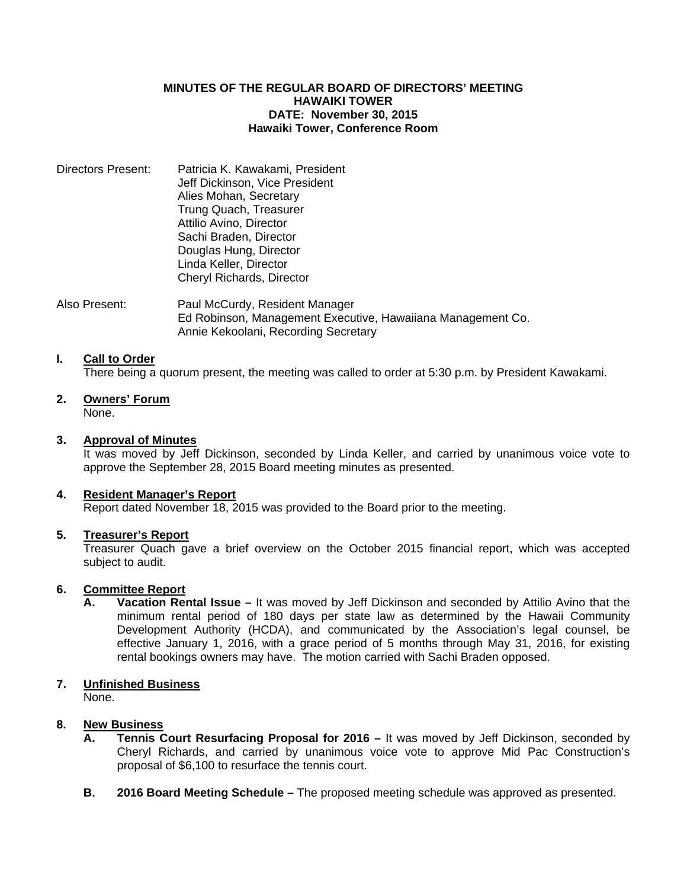#### **MINUTES OF THE REGULAR BOARD OF DIRECTORS' MEETING HAWAIKI TOWER DATE: November 30, 2015 Hawaiki Tower, Conference Room**

| Directors Present: | Patricia K. Kawakami, President |
|--------------------|---------------------------------|
|                    | Jeff Dickinson, Vice President  |
|                    | Alies Mohan, Secretary          |
|                    | Trung Quach, Treasurer          |
|                    | Attilio Avino, Director         |
|                    | Sachi Braden, Director          |
|                    | Douglas Hung, Director          |
|                    | Linda Keller, Director          |
|                    | Cheryl Richards, Director       |
|                    |                                 |

Also Present: Paul McCurdy, Resident Manager Ed Robinson, Management Executive, Hawaiiana Management Co. Annie Kekoolani, Recording Secretary

#### **I. Call to Order**

There being a quorum present, the meeting was called to order at 5:30 p.m. by President Kawakami.

**2. Owners' Forum**

None.

# **3. Approval of Minutes**

 It was moved by Jeff Dickinson, seconded by Linda Keller, and carried by unanimous voice vote to approve the September 28, 2015 Board meeting minutes as presented.

# **4. Resident Manager's Report**

Report dated November 18, 2015 was provided to the Board prior to the meeting.

# **5. Treasurer's Report**

 Treasurer Quach gave a brief overview on the October 2015 financial report, which was accepted subject to audit.

# **6. Committee Report**

 **A. Vacation Rental Issue –** It was moved by Jeff Dickinson and seconded by Attilio Avino that the minimum rental period of 180 days per state law as determined by the Hawaii Community Development Authority (HCDA), and communicated by the Association's legal counsel, be effective January 1, 2016, with a grace period of 5 months through May 31, 2016, for existing rental bookings owners may have. The motion carried with Sachi Braden opposed.

# **7. Unfinished Business**

None.

# **8. New Business**

- **A. Tennis Court Resurfacing Proposal for 2016** It was moved by Jeff Dickinson, seconded by Cheryl Richards, and carried by unanimous voice vote to approve Mid Pac Construction's proposal of \$6,100 to resurface the tennis court.
- **B. 2016 Board Meeting Schedule –** The proposed meeting schedule was approved as presented.